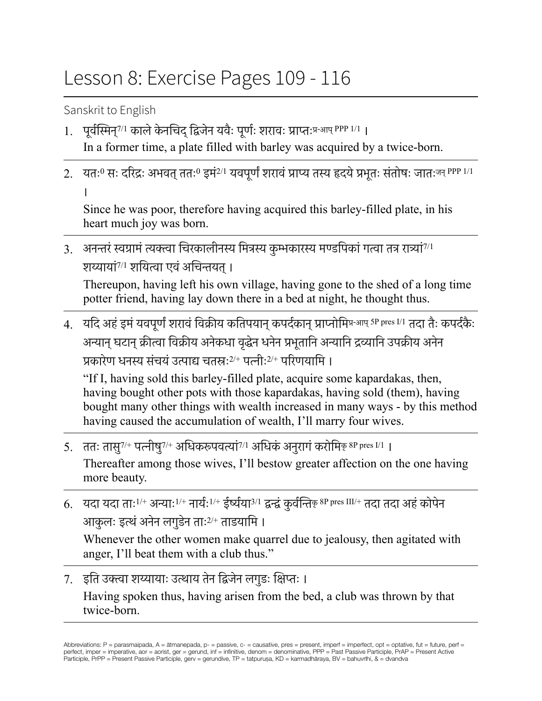## Lesson 8: Exercise Pages 109 - 116

Sanskrit to English

- 1. पूर्वस्मिन्<sup>7/1</sup> काले केनचिद् द्विजेन यवैः पूर्णः शरावः प्राप्तःप्र-<sup>आप् PPP 1/1</sup> । In a former time, a plate filled with barley was acquired by a twice-born.
- 2. यतः<sup>0</sup> सः दरिद्रः अभवत् ततः<sup>0</sup> इमं<sup>2/1</sup> यवपूर्णं शरावं प्राप्य तस्य हृदये प्रभूतः संतोषः जातःजन् PPP 1/1 ।

Since he was poor, therefore having acquired this barley-filled plate, in his heart much joy was born.

3. अनन्तरं स्वग्रामं त्यक्त्वा चिरकालीनस्य मित्रस्य कुम्भकारस्य मण्डपिकां गत्वा तत्र रात्र्यां<sup>7/1</sup> शय्यायां<sup>7/1</sup> शयित्वा एवं अचिन्तयत् ।

Thereupon, having left his own village, having gone to the shed of a long time potter friend, having lay down there in a bed at night, he thought thus.

4. यदि अहं इमं यवपूर्णं शरावं विक्रीय कतिपयान् कपर्दकान् प्राप्नोमिप्र-आप् 5P pres I/1 तदा तैः कपर्दकैः अन्यान् घटान् क्रीत्वा विक्रीय अनेकधा वृद्धेन धनेन प्रभूतानि अन्यानि द्रव्यानि उपक्रीय अनेन प्रकारेण धनस्य संचयं उत्पाद्य चतस्रः<sup>2/+</sup> पत्नीः<sup>2/+</sup> परिणयामि ।

"If I, having sold this barley-filled plate, acquire some kapardakas, then, having bought other pots with those kapardakas, having sold (them), having bought many other things with wealth increased in many ways - by this method having caused the accumulation of wealth, I'll marry four wives.

- 5. ततः तासु<sup>7/+</sup> पत्नीषु<sup>7/+</sup> अधिकरूपवत्यां<sup>7/1</sup> अधिकं अनुरागं करोमिकृ<sup>8P pres I/1 |</sup> Thereafter among those wives, I'll bestow greater affection on the one having more beauty.
- 6. यदा यदा ताः<sup>1/+</sup> अन्याः<sup>1/+</sup> नार्यः<sup>1/+</sup> ईर्ष्यया<sup>3/1</sup> द्वन्द्वं कुर्वन्तिकृ 8P pres III/+ तदा तदा अहं कोपेन आकृलः इत्थं अनेन लगुडेन ताः<sup>2/+</sup> ताडयामि ।

Whenever the other women make quarrel due to jealousy, then agitated with anger, I'll beat them with a club thus."

7. इति उक्त्वा शय्यायाः उत्थाय तेन द्विजेन लगुडः क्षिप्तः । Having spoken thus, having arisen from the bed, a club was thrown by that twice-born.